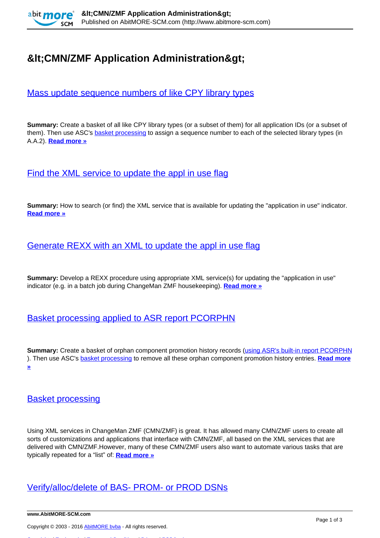

# **&It:CMN/ZMF Application Administration&gt:**

# [Mass update sequence numbers of like CPY library types](http://www.abitmore-scm.com/products/commander/usecases/mass-update-sequence-numbers-of-like-cpy-library-types)

**Summary:** Create a basket of all like CPY library types (or a subset of them) for all application IDs (or a subset of them). Then use ASC's **basket processing** to assign a sequence number to each of the selected library types (in A.A.2). **[Read more »](http://www.abitmore-scm.com/products/commander/usecases/mass-update-sequence-numbers-of-like-cpy-library-types)**

[Find the XML service to update the appl in use flag](http://www.abitmore-scm.com/products/commander/usecases/find-an-xml-service)

**Summary:** How to search (or find) the XML service that is available for updating the "application in use" indicator. **[Read more »](http://www.abitmore-scm.com/products/commander/usecases/find-an-xml-service)**

### [Generate REXX with an XML to update the appl in use flag](http://www.abitmore-scm.com/products/commander/usecases/generate-rexx-to-reset-isApplBusy)

**Summary:** Develop a REXX procedure using appropriate XML service(s) for updating the "application in use" indicator (e.g. in a batch job during ChangeMan ZMF housekeeping). **[Read more »](http://www.abitmore-scm.com/products/commander/usecases/generate-rexx-to-reset-isApplBusy)**

# [Basket processing applied to ASR report PCORPHN](http://www.abitmore-scm.com/products/commander/usecases/remove-orphan-promotion-history)

**Summary:** Create a basket of orphan component promotion history records ([using ASR's built-in report PCORPHN](http://www.abitmore-scm.com/products/reporting/builtin-reports/pcorphn) ). Then use ASC's [basket processing](http://www.abitmore-scm.com/products/commander/features/basket-processing) to remove all these orphan component promotion history entries. **[Read more](http://www.abitmore-scm.com/products/commander/usecases/remove-orphan-promotion-history) [»](http://www.abitmore-scm.com/products/commander/usecases/remove-orphan-promotion-history)**

#### [Basket processing](http://www.abitmore-scm.com/products/commander/features/basket-processing)

Using XML services in ChangeMan ZMF (CMN/ZMF) is great. It has allowed many CMN/ZMF users to create all sorts of customizations and applications that interface with CMN/ZMF, all based on the XML services that are delivered with CMN/ZMF.However, many of these CMN/ZMF users also want to automate various tasks that are typically repeated for a "list" of: **[Read more »](http://www.abitmore-scm.com/products/commander/features/basket-processing)**

## [Verify/alloc/delete of BAS- PROM- or PROD DSNs](http://www.abitmore-scm.com/products/commander/builtin-solutions/ascz0202)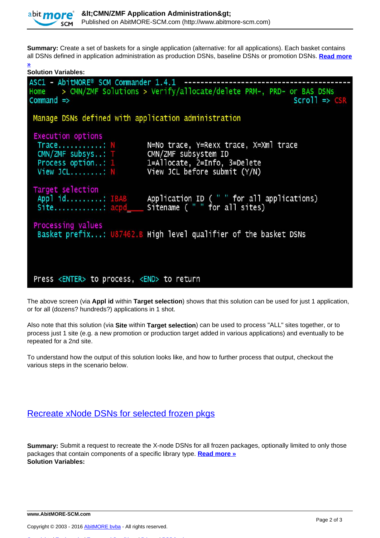

**[»](http://www.abitmore-scm.com/products/commander/builtin-solutions/ascz0202)**

**Summary:** Create a set of baskets for a single application (alternative: for all applications). Each basket contains all DSNs defined in application administration as production DSNs, baseline DSNs or promotion DSNs. **[Read more](http://www.abitmore-scm.com/products/commander/builtin-solutions/ascz0202)**

| <b>Solution Variables:</b>                                                                                                                                                                    |                                                                                                                                         |
|-----------------------------------------------------------------------------------------------------------------------------------------------------------------------------------------------|-----------------------------------------------------------------------------------------------------------------------------------------|
| ASC1 - AbitMORE® SCM Commander 1.4.1 -----------------------<br>Home > CMN/ZMF Solutions > Verify/allocate/delete PRM-, PRD- or BAS DSNs<br>$Command \Rightarrow$<br>$Scrol1 \Rightarrow CSR$ |                                                                                                                                         |
| Manage DSNs defined with application administration                                                                                                                                           |                                                                                                                                         |
| <b>Execution options</b>                                                                                                                                                                      |                                                                                                                                         |
| Trace: N<br>CMN/ZMF subsys: T CMN/ZMF subsystem ID                                                                                                                                            | N=No trace, Y=Rexx trace, X=Xml trace<br>Process option: 1 1=Allocate, 2=Info, 3=Delete<br>View JCL: $N$ View JCL before submit $(Y/N)$ |
| Target selection                                                                                                                                                                              | Appl id: IBAB Application ID ("" for all applications)<br>Site: acpd_____ Sitename ("" for all sites)                                   |
| Processing values<br>Basket prefix: U87462.B High level qualifier of the basket DSNs                                                                                                          |                                                                                                                                         |
|                                                                                                                                                                                               |                                                                                                                                         |
| Press <enter> to process, <end> to return</end></enter>                                                                                                                                       |                                                                                                                                         |

The above screen (via **Appl id** within **Target selection**) shows that this solution can be used for just 1 application, or for all (dozens? hundreds?) applications in 1 shot.

Also note that this solution (via **Site** within **Target selection**) can be used to process "ALL" sites together, or to process just 1 site (e.g. a new promotion or production target added in various applications) and eventually to be repeated for a 2nd site.

To understand how the output of this solution looks like, and how to further process that output, checkout the various steps in the scenario below.

#### [Recreate xNode DSNs for selected frozen pkgs](http://www.abitmore-scm.com/products/commander/builtin-solutions/ascz0051)

**Summary:** Submit a request to recreate the X-node DSNs for all frozen packages, optionally limited to only those packages that contain components of a specific library type. **[Read more »](http://www.abitmore-scm.com/products/commander/builtin-solutions/ascz0051) Solution Variables:** 

[Copyrights](http://www.abitmore-scm.com/legal/copyrights) | [Trademarks](http://www.abitmore-scm.com/legal/trademarks) | [Terms and Conditions](http://www.abitmore-scm.com/legal/terms) | [Privacy](http://www.abitmore-scm.com/legal/privacy) | [RSS feeds](http://www.abitmore-scm.com/rss.xml)